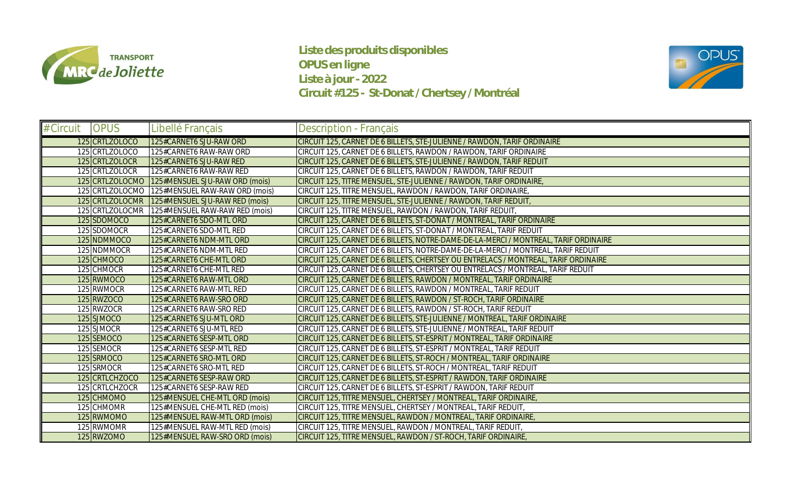

**Liste des produits disponibles OPUS en ligne Liste à jour - 2022 Circuit #125 - St-Donat / Chertsey / Montréal**



| # Circuit | <b>OPUS</b>     | Libellé Français               | <b>Description - Français</b>                                                        |
|-----------|-----------------|--------------------------------|--------------------------------------------------------------------------------------|
|           | 125 CRTLZOLOCO  | 125#CARNET6 SJU-RAW ORD        | CIRCUIT 125, CARNET DE 6 BILLETS, STE-JULIENNE / RAWDON, TARIF ORDINAIRE             |
|           | 125 CRTLZOLOCO  | 125#CARNET6 RAW-RAW ORD        | CIRCUIT 125, CARNET DE 6 BILLETS, RAWDON / RAWDON, TARIF ORDINAIRE                   |
|           | 125 CRTLZOLOCR  | 125#CARNET6 SJU-RAW RED        | CIRCUIT 125, CARNET DE 6 BILLETS, STE-JULIENNE / RAWDON, TARIF REDUIT                |
|           | 125 CRTLZOLOCR  | 125#CARNET6 RAW-RAW RED        | CIRCUIT 125, CARNET DE 6 BILLETS, RAWDON / RAWDON, TARIF REDUIT                      |
|           | 125 CRTLZOLOCMO | 125#MENSUEL SJU-RAW ORD (mois) | CIRCUIT 125, TITRE MENSUEL, STE-JULIENNE / RAWDON, TARIF ORDINAIRE                   |
|           | 125 CRTLZOLOCMO | 125#MENSUEL RAW-RAW ORD (mois) | CIRCUIT 125, TITRE MENSUEL, RAWDON / RAWDON, TARIF ORDINAIRE,                        |
|           | 125 CRTLZOLOCMR | 125#MENSUEL SJU-RAW RED (mois) | CIRCUIT 125, TITRE MENSUEL, STE-JULIENNE / RAWDON, TARIF REDUIT,                     |
|           | 125 CRTLZOLOCMR | 125#MENSUEL RAW-RAW RED (mois) | CIRCUIT 125, TITRE MENSUEL, RAWDON / RAWDON, TARIF REDUIT                            |
|           | 125 SDOMOCO     | 125#CARNET6 SDO-MTL ORD        | CIRCUIT 125, CARNET DE 6 BILLETS, ST-DONAT / MONTREAL, TARIF ORDINAIRE               |
|           | 125 SDOMOCR     | 125#CARNET6 SDO-MTL RED        | CIRCUIT 125, CARNET DE 6 BILLETS, ST-DONAT / MONTREAL, TARIF REDUIT                  |
|           | 125 NDMMOCO     | 125#CARNET6 NDM-MTL ORD        | CIRCUIT 125, CARNET DE 6 BILLETS, NOTRE-DAME-DE-LA-MERCI / MONTREAL, TARIF ORDINAIRE |
|           | 125 NDMMOCR     | 125#CARNET6 NDM-MTL RED        | CIRCUIT 125, CARNET DE 6 BILLETS, NOTRE-DAME-DE-LA-MERCI / MONTREAL, TARIF REDUIT    |
|           | 125 CHMOCO      | 125#CARNET6 CHE-MTL ORD        | CIRCUIT 125, CARNET DE 6 BILLETS, CHERTSEY OU ENTRELACS / MONTREAL, TARIF ORDINAIRE  |
|           | 125 CHMOCR      | 125#CARNET6 CHE-MTL RED        | CIRCUIT 125, CARNET DE 6 BILLETS, CHERTSEY OU ENTRELACS / MONTREAL, TARIF REDUIT     |
|           | 125 RWMOCO      | 125#CARNET6 RAW-MTL ORD        | CIRCUIT 125, CARNET DE 6 BILLETS, RAWDON / MONTREAL, TARIF ORDINAIRE                 |
|           | 125 RWMOCR      | 125#CARNET6 RAW-MTL RED        | CIRCUIT 125, CARNET DE 6 BILLETS, RAWDON / MONTREAL, TARIF REDUIT                    |
|           | 125 RWZOCO      | 125#CARNET6 RAW-SRO ORD        | CIRCUIT 125, CARNET DE 6 BILLETS, RAWDON / ST-ROCH, TARIF ORDINAIRE                  |
|           | 125 RWZOCR      | 125#CARNET6 RAW-SRO RED        | CIRCUIT 125, CARNET DE 6 BILLETS, RAWDON / ST-ROCH, TARIF REDUIT                     |
|           | 125 SJMOCO      | 125#CARNET6 SJU-MTL ORD        | CIRCUIT 125, CARNET DE 6 BILLETS, STE-JULIENNE / MONTREAL, TARIF ORDINAIRE           |
|           | 125 SJMOCR      | 125#CARNET6 SJU-MTL RED        | CIRCUIT 125, CARNET DE 6 BILLETS, STE-JULIENNE / MONTREAL, TARIF REDUIT              |
|           | 125 SEMOCO      | 125#CARNET6 SESP-MTL ORD       | CIRCUIT 125, CARNET DE 6 BILLETS, ST-ESPRIT / MONTREAL, TARIF ORDINAIRE              |
|           | 125 SEMOCR      | 125#CARNET6 SESP-MTL RED       | CIRCUIT 125, CARNET DE 6 BILLETS, ST-ESPRIT / MONTREAL, TARIF REDUIT                 |
|           | 125 SRMOCO      | 125#CARNET6 SRO-MTL ORD        | CIRCUIT 125, CARNET DE 6 BILLETS, ST-ROCH / MONTREAL, TARIF ORDINAIRE                |
|           | 125 SRMOCR      | 125#CARNET6 SRO-MTL RED        | CIRCUIT 125, CARNET DE 6 BILLETS, ST-ROCH / MONTREAL, TARIF REDUIT                   |
|           | 125 CRTLCHZOCO  | 125#CARNET6 SESP-RAW ORD       | CIRCUIT 125, CARNET DE 6 BILLETS, ST-ESPRIT / RAWDON, TARIF ORDINAIRE                |
|           | 125 CRTLCHZOCR  | 125#CARNET6 SESP-RAW RED       | CIRCUIT 125, CARNET DE 6 BILLETS, ST-ESPRIT / RAWDON, TARIF REDUIT                   |
|           | 125 CHMOMO      | 125#MENSUEL CHE-MTL ORD (mois) | CIRCUIT 125, TITRE MENSUEL, CHERTSEY / MONTREAL, TARIF ORDINAIRE                     |
|           | 125 CHMOMR      | 125#MENSUEL CHE-MTL RED (mois) | CIRCUIT 125, TITRE MENSUEL, CHERTSEY / MONTREAL, TARIF REDUIT                        |
|           | 125 RWMOMO      | 125#MENSUEL RAW-MTL ORD (mois) | CIRCUIT 125, TITRE MENSUEL, RAWDON / MONTREAL, TARIF ORDINAIRE                       |
|           | 125 RWMOMR      | 125#MENSUEL RAW-MTL RED (mois) | CIRCUIT 125, TITRE MENSUEL, RAWDON / MONTREAL, TARIF REDUIT,                         |
|           | 125 RWZOMO      | 125#MENSUEL RAW-SRO ORD (mois) | CIRCUIT 125, TITRE MENSUEL, RAWDON / ST-ROCH, TARIF ORDINAIRE                        |